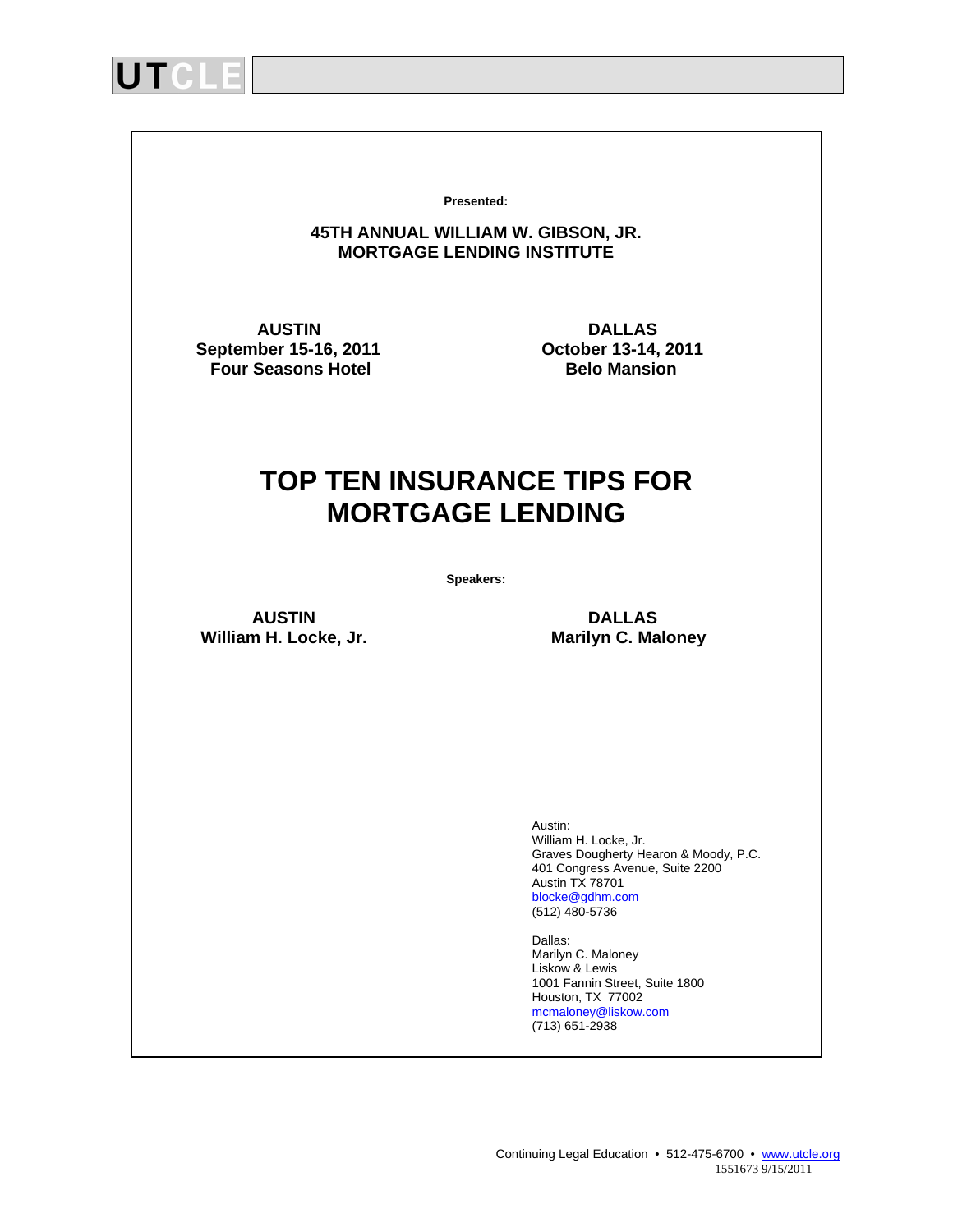

**Presented:**

#### **45TH ANNUAL WILLIAM W. GIBSON, JR. MORTGAGE LENDING INSTITUTE**

**September 15-16, 2011 Compare 13-14, 2011 Compare 13-14, 2011 Compare 13-14, 2011 Compare 13-14, 2018 Compare 13-14, 2018 Four Seasons Hotel** 

AUSTIN **DALLAS**<br>1911 **ber 15-16, 2011** October 13-14, 2011

# **TOP TEN INSURANCE TIPS FOR MORTGAGE LENDING**

**Speakers:** 

 **AUSTIN DALLAS**  William H. Locke, Jr. **Marilyn C. Maloney** 

 Austin: William H. Locke, Jr. Graves Dougherty Hearon & Moody, P.C. 401 Congress Avenue, Suite 2200 Austin TX 78701 blocke@gdhm.com (512) 480-5736

 Dallas: Marilyn C. Maloney Liskow & Lewis 1001 Fannin Street, Suite 1800 Houston, TX 77002 mcmaloney@liskow.com (713) 651-2938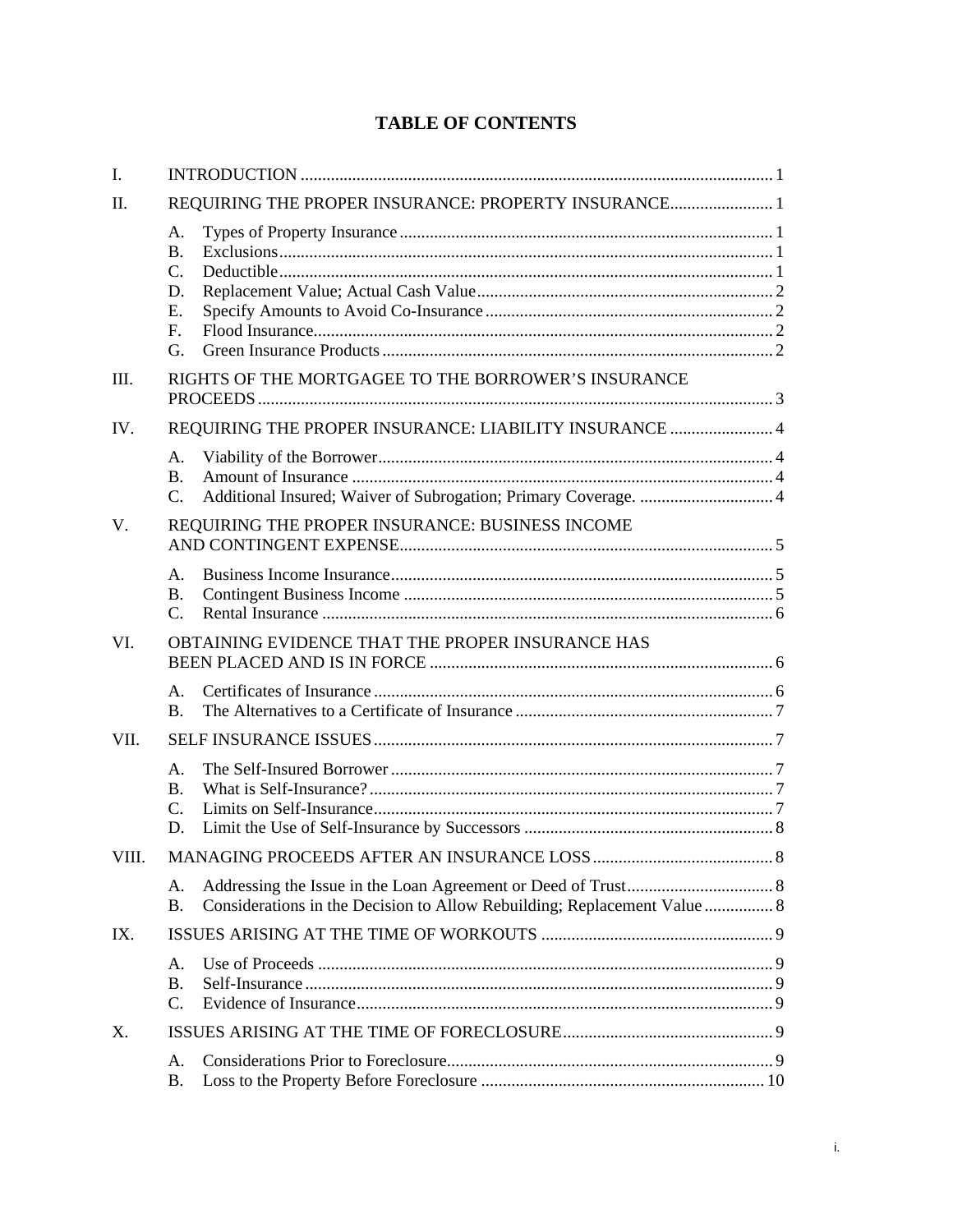## **TABLE OF CONTENTS**

| I.    |                                                                      |                                                                          |  |  |  |
|-------|----------------------------------------------------------------------|--------------------------------------------------------------------------|--|--|--|
| II.   | REQUIRING THE PROPER INSURANCE: PROPERTY INSURANCE 1                 |                                                                          |  |  |  |
|       | A.<br>$\mathbf{B}$ .<br>$C_{\cdot}$<br>D.<br>E.<br>$F_{\perp}$<br>G. |                                                                          |  |  |  |
| III.  | RIGHTS OF THE MORTGAGEE TO THE BORROWER'S INSURANCE                  |                                                                          |  |  |  |
| IV.   | REQUIRING THE PROPER INSURANCE: LIABILITY INSURANCE  4               |                                                                          |  |  |  |
|       | А.<br>B <sub>1</sub><br>$C_{\cdot}$                                  |                                                                          |  |  |  |
| V.    |                                                                      | REQUIRING THE PROPER INSURANCE: BUSINESS INCOME                          |  |  |  |
|       | A <sub>1</sub><br><b>B.</b><br>$\mathcal{C}$ .                       |                                                                          |  |  |  |
| VI.   | OBTAINING EVIDENCE THAT THE PROPER INSURANCE HAS                     |                                                                          |  |  |  |
|       | $A_{-}$<br>B <sub>1</sub>                                            |                                                                          |  |  |  |
| VII.  |                                                                      |                                                                          |  |  |  |
|       | A <sub>1</sub><br>B.<br>$\mathbf{C}$ .<br>D.                         |                                                                          |  |  |  |
| VIII. |                                                                      |                                                                          |  |  |  |
|       | А.<br><b>B.</b>                                                      | Considerations in the Decision to Allow Rebuilding; Replacement Value  8 |  |  |  |
| IX.   |                                                                      |                                                                          |  |  |  |
|       | A <sub>1</sub><br><b>B.</b><br>C.                                    |                                                                          |  |  |  |
| Χ.    |                                                                      |                                                                          |  |  |  |
|       | А.<br>Β.                                                             |                                                                          |  |  |  |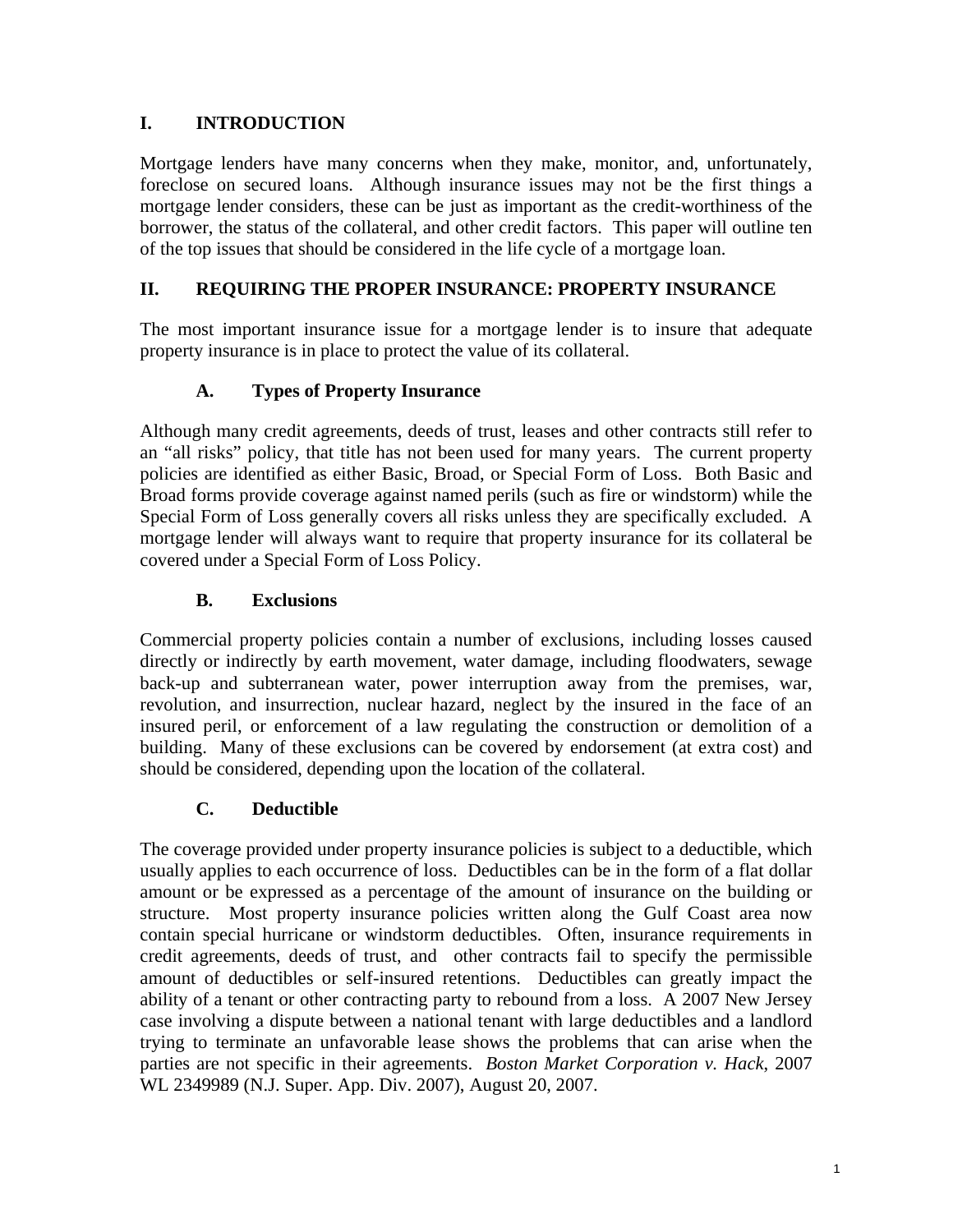## **I. INTRODUCTION**

Mortgage lenders have many concerns when they make, monitor, and, unfortunately, foreclose on secured loans. Although insurance issues may not be the first things a mortgage lender considers, these can be just as important as the credit-worthiness of the borrower, the status of the collateral, and other credit factors. This paper will outline ten of the top issues that should be considered in the life cycle of a mortgage loan.

## **II. REQUIRING THE PROPER INSURANCE: PROPERTY INSURANCE**

The most important insurance issue for a mortgage lender is to insure that adequate property insurance is in place to protect the value of its collateral.

## **A. Types of Property Insurance**

Although many credit agreements, deeds of trust, leases and other contracts still refer to an "all risks" policy, that title has not been used for many years. The current property policies are identified as either Basic, Broad, or Special Form of Loss. Both Basic and Broad forms provide coverage against named perils (such as fire or windstorm) while the Special Form of Loss generally covers all risks unless they are specifically excluded. A mortgage lender will always want to require that property insurance for its collateral be covered under a Special Form of Loss Policy.

#### **B. Exclusions**

Commercial property policies contain a number of exclusions, including losses caused directly or indirectly by earth movement, water damage, including floodwaters, sewage back-up and subterranean water, power interruption away from the premises, war, revolution, and insurrection, nuclear hazard, neglect by the insured in the face of an insured peril, or enforcement of a law regulating the construction or demolition of a building. Many of these exclusions can be covered by endorsement (at extra cost) and should be considered, depending upon the location of the collateral.

#### **C. Deductible**

The coverage provided under property insurance policies is subject to a deductible, which usually applies to each occurrence of loss. Deductibles can be in the form of a flat dollar amount or be expressed as a percentage of the amount of insurance on the building or structure. Most property insurance policies written along the Gulf Coast area now contain special hurricane or windstorm deductibles. Often, insurance requirements in credit agreements, deeds of trust, and other contracts fail to specify the permissible amount of deductibles or self-insured retentions. Deductibles can greatly impact the ability of a tenant or other contracting party to rebound from a loss. A 2007 New Jersey case involving a dispute between a national tenant with large deductibles and a landlord trying to terminate an unfavorable lease shows the problems that can arise when the parties are not specific in their agreements. *Boston Market Corporation v. Hack*, 2007 WL 2349989 (N.J. Super. App. Div. 2007), August 20, 2007.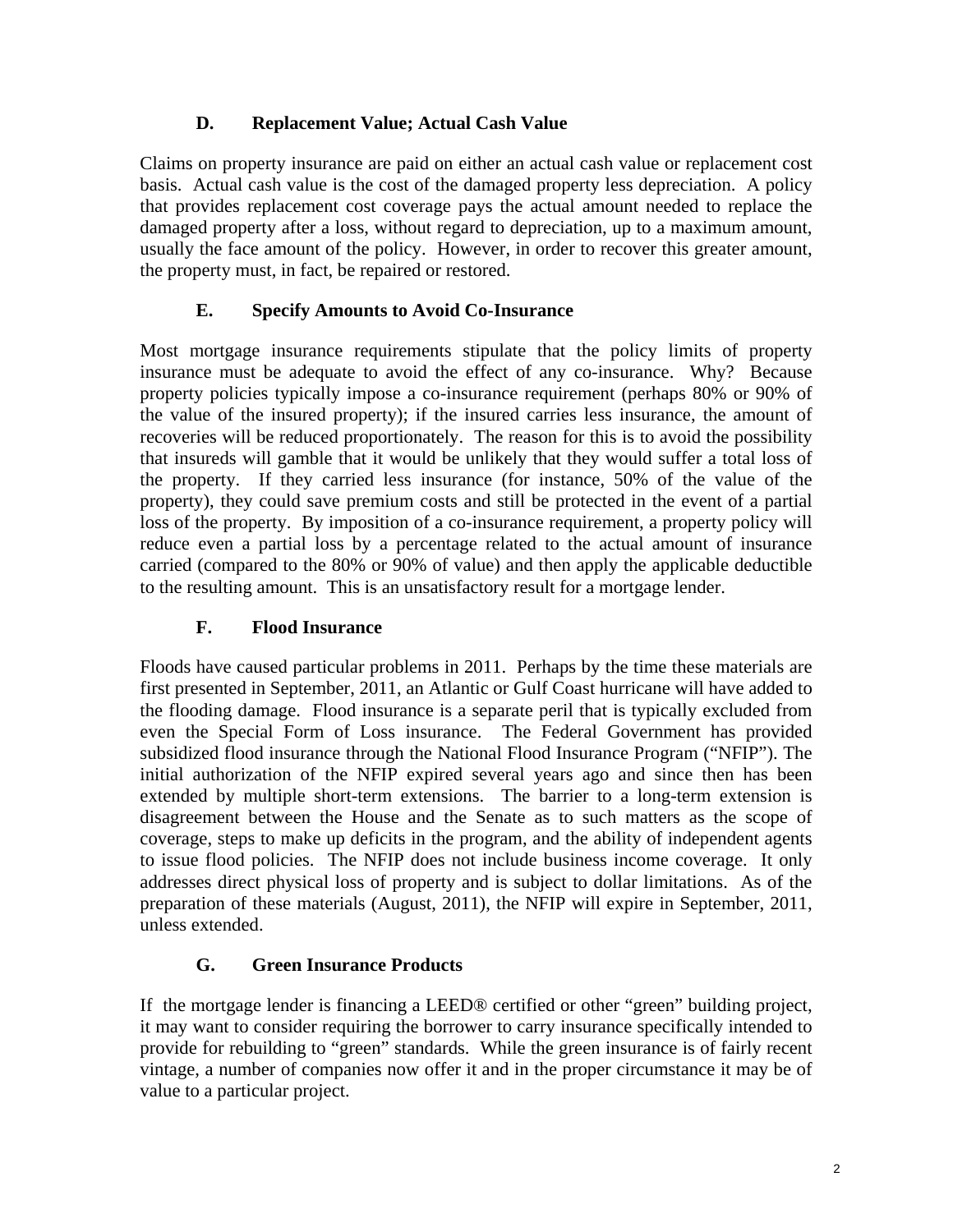## **D. Replacement Value; Actual Cash Value**

Claims on property insurance are paid on either an actual cash value or replacement cost basis. Actual cash value is the cost of the damaged property less depreciation. A policy that provides replacement cost coverage pays the actual amount needed to replace the damaged property after a loss, without regard to depreciation, up to a maximum amount, usually the face amount of the policy. However, in order to recover this greater amount, the property must, in fact, be repaired or restored.

## **E. Specify Amounts to Avoid Co-Insurance**

Most mortgage insurance requirements stipulate that the policy limits of property insurance must be adequate to avoid the effect of any co-insurance. Why? Because property policies typically impose a co-insurance requirement (perhaps 80% or 90% of the value of the insured property); if the insured carries less insurance, the amount of recoveries will be reduced proportionately. The reason for this is to avoid the possibility that insureds will gamble that it would be unlikely that they would suffer a total loss of the property. If they carried less insurance (for instance, 50% of the value of the property), they could save premium costs and still be protected in the event of a partial loss of the property. By imposition of a co-insurance requirement, a property policy will reduce even a partial loss by a percentage related to the actual amount of insurance carried (compared to the 80% or 90% of value) and then apply the applicable deductible to the resulting amount. This is an unsatisfactory result for a mortgage lender.

## **F. Flood Insurance**

Floods have caused particular problems in 2011. Perhaps by the time these materials are first presented in September, 2011, an Atlantic or Gulf Coast hurricane will have added to the flooding damage. Flood insurance is a separate peril that is typically excluded from even the Special Form of Loss insurance. The Federal Government has provided subsidized flood insurance through the National Flood Insurance Program ("NFIP"). The initial authorization of the NFIP expired several years ago and since then has been extended by multiple short-term extensions. The barrier to a long-term extension is disagreement between the House and the Senate as to such matters as the scope of coverage, steps to make up deficits in the program, and the ability of independent agents to issue flood policies. The NFIP does not include business income coverage. It only addresses direct physical loss of property and is subject to dollar limitations. As of the preparation of these materials (August, 2011), the NFIP will expire in September, 2011, unless extended.

## **G. Green Insurance Products**

If the mortgage lender is financing a LEED® certified or other "green" building project, it may want to consider requiring the borrower to carry insurance specifically intended to provide for rebuilding to "green" standards. While the green insurance is of fairly recent vintage, a number of companies now offer it and in the proper circumstance it may be of value to a particular project.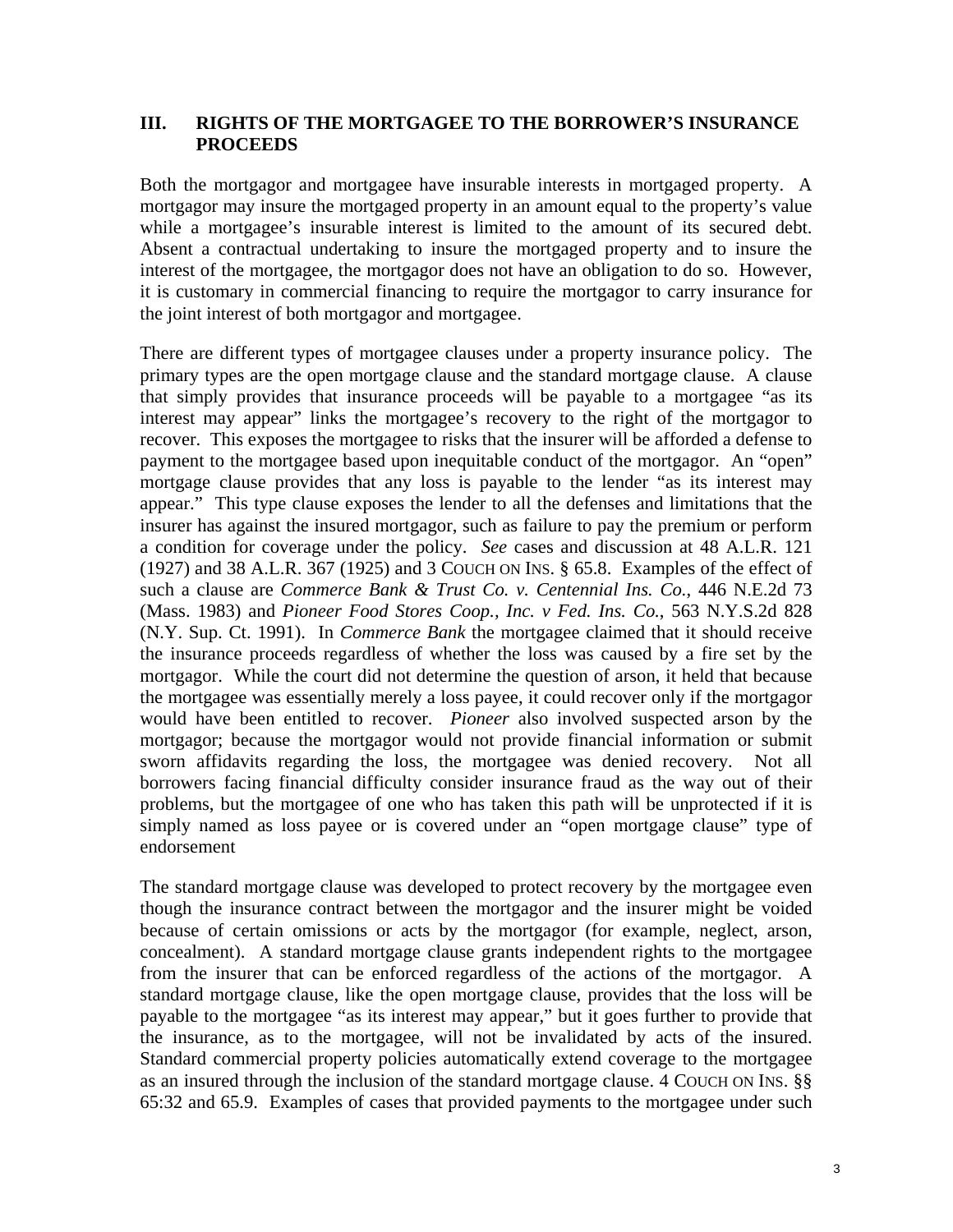#### **III. RIGHTS OF THE MORTGAGEE TO THE BORROWER'S INSURANCE PROCEEDS**

Both the mortgagor and mortgagee have insurable interests in mortgaged property. A mortgagor may insure the mortgaged property in an amount equal to the property's value while a mortgagee's insurable interest is limited to the amount of its secured debt. Absent a contractual undertaking to insure the mortgaged property and to insure the interest of the mortgagee, the mortgagor does not have an obligation to do so. However, it is customary in commercial financing to require the mortgagor to carry insurance for the joint interest of both mortgagor and mortgagee.

There are different types of mortgagee clauses under a property insurance policy. The primary types are the open mortgage clause and the standard mortgage clause. A clause that simply provides that insurance proceeds will be payable to a mortgagee "as its interest may appear" links the mortgagee's recovery to the right of the mortgagor to recover. This exposes the mortgagee to risks that the insurer will be afforded a defense to payment to the mortgagee based upon inequitable conduct of the mortgagor. An "open" mortgage clause provides that any loss is payable to the lender "as its interest may appear." This type clause exposes the lender to all the defenses and limitations that the insurer has against the insured mortgagor, such as failure to pay the premium or perform a condition for coverage under the policy. *See* cases and discussion at 48 A.L.R. 121 (1927) and 38 A.L.R. 367 (1925) and 3 COUCH ON INS. § 65.8. Examples of the effect of such a clause are *Commerce Bank & Trust Co. v. Centennial Ins. Co.*, 446 N.E.2d 73 (Mass. 1983) and *Pioneer Food Stores Coop., Inc. v Fed. Ins. Co.*, 563 N.Y.S.2d 828 (N.Y. Sup. Ct. 1991). In *Commerce Bank* the mortgagee claimed that it should receive the insurance proceeds regardless of whether the loss was caused by a fire set by the mortgagor. While the court did not determine the question of arson, it held that because the mortgagee was essentially merely a loss payee, it could recover only if the mortgagor would have been entitled to recover. *Pioneer* also involved suspected arson by the mortgagor; because the mortgagor would not provide financial information or submit sworn affidavits regarding the loss, the mortgagee was denied recovery. Not all borrowers facing financial difficulty consider insurance fraud as the way out of their problems, but the mortgagee of one who has taken this path will be unprotected if it is simply named as loss payee or is covered under an "open mortgage clause" type of endorsement

The standard mortgage clause was developed to protect recovery by the mortgagee even though the insurance contract between the mortgagor and the insurer might be voided because of certain omissions or acts by the mortgagor (for example, neglect, arson, concealment). A standard mortgage clause grants independent rights to the mortgagee from the insurer that can be enforced regardless of the actions of the mortgagor. A standard mortgage clause, like the open mortgage clause, provides that the loss will be payable to the mortgagee "as its interest may appear," but it goes further to provide that the insurance, as to the mortgagee, will not be invalidated by acts of the insured. Standard commercial property policies automatically extend coverage to the mortgagee as an insured through the inclusion of the standard mortgage clause. 4 COUCH ON INS. §§ 65:32 and 65.9. Examples of cases that provided payments to the mortgagee under such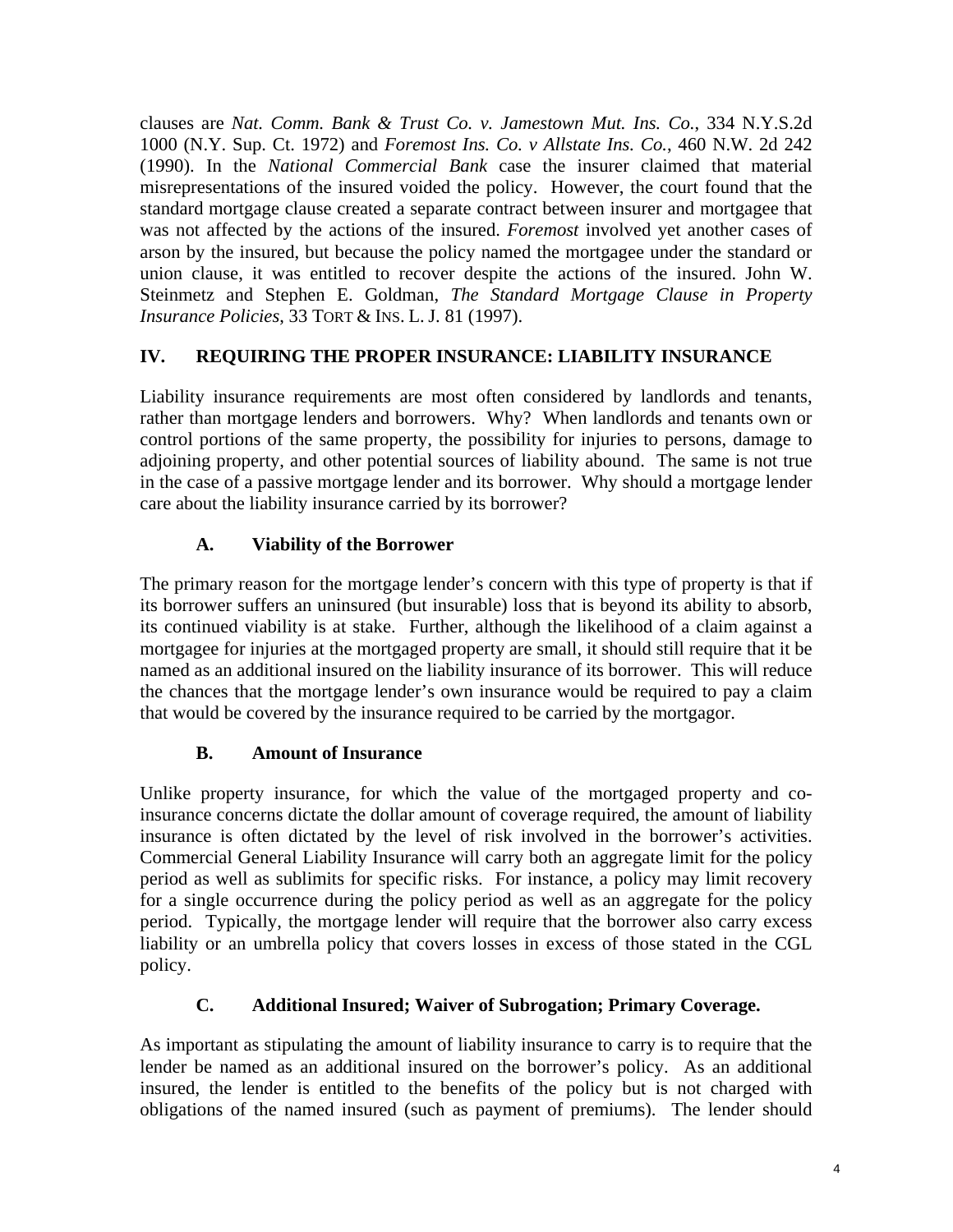clauses are *Nat. Comm. Bank & Trust Co. v. Jamestown Mut. Ins. Co.*, 334 N.Y.S.2d 1000 (N.Y. Sup. Ct. 1972) and *Foremost Ins. Co. v Allstate Ins. Co.*, 460 N.W. 2d 242 (1990). In the *National Commercial Bank* case the insurer claimed that material misrepresentations of the insured voided the policy. However, the court found that the standard mortgage clause created a separate contract between insurer and mortgagee that was not affected by the actions of the insured. *Foremost* involved yet another cases of arson by the insured, but because the policy named the mortgagee under the standard or union clause, it was entitled to recover despite the actions of the insured. John W. Steinmetz and Stephen E. Goldman, *The Standard Mortgage Clause in Property Insurance Policies*, 33 TORT & INS. L. J. 81 (1997).

## **IV. REQUIRING THE PROPER INSURANCE: LIABILITY INSURANCE**

Liability insurance requirements are most often considered by landlords and tenants, rather than mortgage lenders and borrowers. Why? When landlords and tenants own or control portions of the same property, the possibility for injuries to persons, damage to adjoining property, and other potential sources of liability abound. The same is not true in the case of a passive mortgage lender and its borrower. Why should a mortgage lender care about the liability insurance carried by its borrower?

## **A. Viability of the Borrower**

The primary reason for the mortgage lender's concern with this type of property is that if its borrower suffers an uninsured (but insurable) loss that is beyond its ability to absorb, its continued viability is at stake. Further, although the likelihood of a claim against a mortgagee for injuries at the mortgaged property are small, it should still require that it be named as an additional insured on the liability insurance of its borrower. This will reduce the chances that the mortgage lender's own insurance would be required to pay a claim that would be covered by the insurance required to be carried by the mortgagor.

#### **B. Amount of Insurance**

Unlike property insurance, for which the value of the mortgaged property and coinsurance concerns dictate the dollar amount of coverage required, the amount of liability insurance is often dictated by the level of risk involved in the borrower's activities. Commercial General Liability Insurance will carry both an aggregate limit for the policy period as well as sublimits for specific risks. For instance, a policy may limit recovery for a single occurrence during the policy period as well as an aggregate for the policy period. Typically, the mortgage lender will require that the borrower also carry excess liability or an umbrella policy that covers losses in excess of those stated in the CGL policy.

#### **C. Additional Insured; Waiver of Subrogation; Primary Coverage.**

As important as stipulating the amount of liability insurance to carry is to require that the lender be named as an additional insured on the borrower's policy. As an additional insured, the lender is entitled to the benefits of the policy but is not charged with obligations of the named insured (such as payment of premiums). The lender should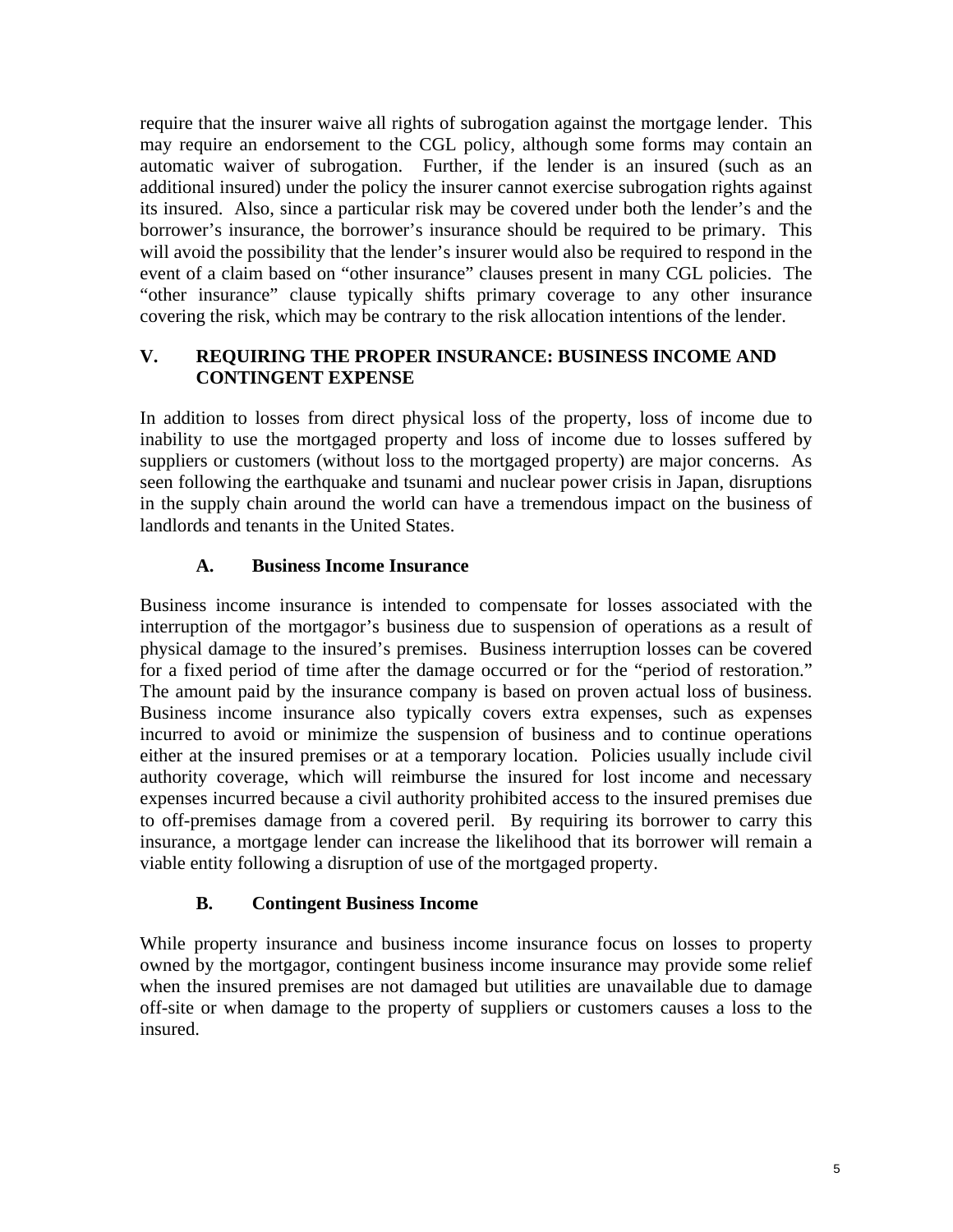require that the insurer waive all rights of subrogation against the mortgage lender. This may require an endorsement to the CGL policy, although some forms may contain an automatic waiver of subrogation. Further, if the lender is an insured (such as an additional insured) under the policy the insurer cannot exercise subrogation rights against its insured. Also, since a particular risk may be covered under both the lender's and the borrower's insurance, the borrower's insurance should be required to be primary. This will avoid the possibility that the lender's insurer would also be required to respond in the event of a claim based on "other insurance" clauses present in many CGL policies. The "other insurance" clause typically shifts primary coverage to any other insurance covering the risk, which may be contrary to the risk allocation intentions of the lender.

## **V. REQUIRING THE PROPER INSURANCE: BUSINESS INCOME AND CONTINGENT EXPENSE**

In addition to losses from direct physical loss of the property, loss of income due to inability to use the mortgaged property and loss of income due to losses suffered by suppliers or customers (without loss to the mortgaged property) are major concerns. As seen following the earthquake and tsunami and nuclear power crisis in Japan, disruptions in the supply chain around the world can have a tremendous impact on the business of landlords and tenants in the United States.

## **A. Business Income Insurance**

Business income insurance is intended to compensate for losses associated with the interruption of the mortgagor's business due to suspension of operations as a result of physical damage to the insured's premises. Business interruption losses can be covered for a fixed period of time after the damage occurred or for the "period of restoration." The amount paid by the insurance company is based on proven actual loss of business. Business income insurance also typically covers extra expenses, such as expenses incurred to avoid or minimize the suspension of business and to continue operations either at the insured premises or at a temporary location. Policies usually include civil authority coverage, which will reimburse the insured for lost income and necessary expenses incurred because a civil authority prohibited access to the insured premises due to off-premises damage from a covered peril. By requiring its borrower to carry this insurance, a mortgage lender can increase the likelihood that its borrower will remain a viable entity following a disruption of use of the mortgaged property.

#### **B. Contingent Business Income**

While property insurance and business income insurance focus on losses to property owned by the mortgagor, contingent business income insurance may provide some relief when the insured premises are not damaged but utilities are unavailable due to damage off-site or when damage to the property of suppliers or customers causes a loss to the insured.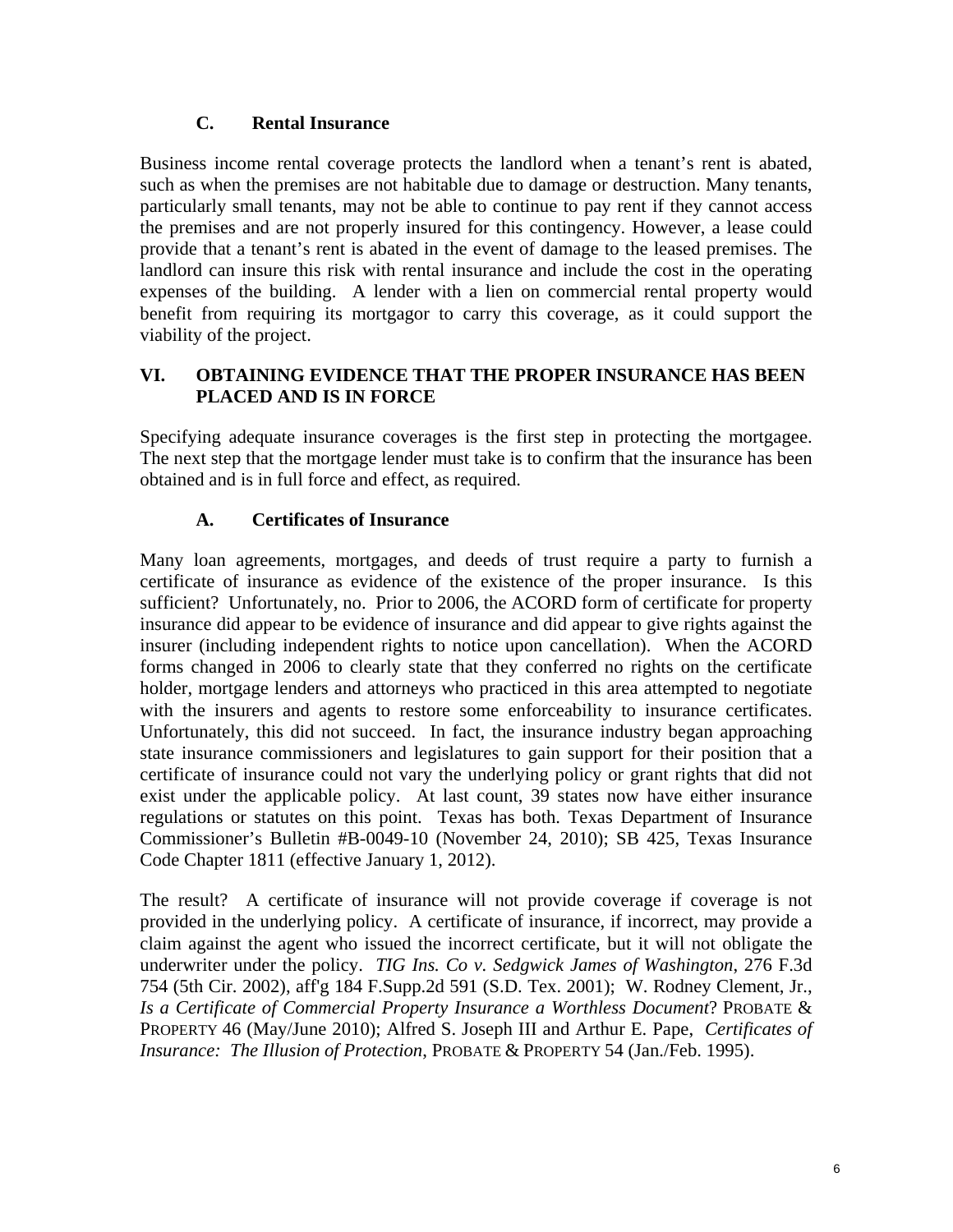#### **C. Rental Insurance**

Business income rental coverage protects the landlord when a tenant's rent is abated, such as when the premises are not habitable due to damage or destruction. Many tenants, particularly small tenants, may not be able to continue to pay rent if they cannot access the premises and are not properly insured for this contingency. However, a lease could provide that a tenant's rent is abated in the event of damage to the leased premises. The landlord can insure this risk with rental insurance and include the cost in the operating expenses of the building. A lender with a lien on commercial rental property would benefit from requiring its mortgagor to carry this coverage, as it could support the viability of the project.

#### **VI. OBTAINING EVIDENCE THAT THE PROPER INSURANCE HAS BEEN PLACED AND IS IN FORCE**

Specifying adequate insurance coverages is the first step in protecting the mortgagee. The next step that the mortgage lender must take is to confirm that the insurance has been obtained and is in full force and effect, as required.

## **A. Certificates of Insurance**

Many loan agreements, mortgages, and deeds of trust require a party to furnish a certificate of insurance as evidence of the existence of the proper insurance. Is this sufficient? Unfortunately, no. Prior to 2006, the ACORD form of certificate for property insurance did appear to be evidence of insurance and did appear to give rights against the insurer (including independent rights to notice upon cancellation). When the ACORD forms changed in 2006 to clearly state that they conferred no rights on the certificate holder, mortgage lenders and attorneys who practiced in this area attempted to negotiate with the insurers and agents to restore some enforceability to insurance certificates. Unfortunately, this did not succeed. In fact, the insurance industry began approaching state insurance commissioners and legislatures to gain support for their position that a certificate of insurance could not vary the underlying policy or grant rights that did not exist under the applicable policy. At last count, 39 states now have either insurance regulations or statutes on this point. Texas has both. Texas Department of Insurance Commissioner's Bulletin #B-0049-10 (November 24, 2010); SB 425, Texas Insurance Code Chapter 1811 (effective January 1, 2012).

The result? A certificate of insurance will not provide coverage if coverage is not provided in the underlying policy. A certificate of insurance, if incorrect, may provide a claim against the agent who issued the incorrect certificate, but it will not obligate the underwriter under the policy. *TIG Ins. Co v. Sedgwick James of Washington*, 276 F.3d 754 (5th Cir. 2002), aff'g 184 F.Supp.2d 591 (S.D. Tex. 2001); W. Rodney Clement, Jr., *Is a Certificate of Commercial Property Insurance a Worthless Document*? PROBATE & PROPERTY 46 (May/June 2010); Alfred S. Joseph III and Arthur E. Pape, *Certificates of Insurance: The Illusion of Protection*, PROBATE & PROPERTY 54 (Jan./Feb. 1995).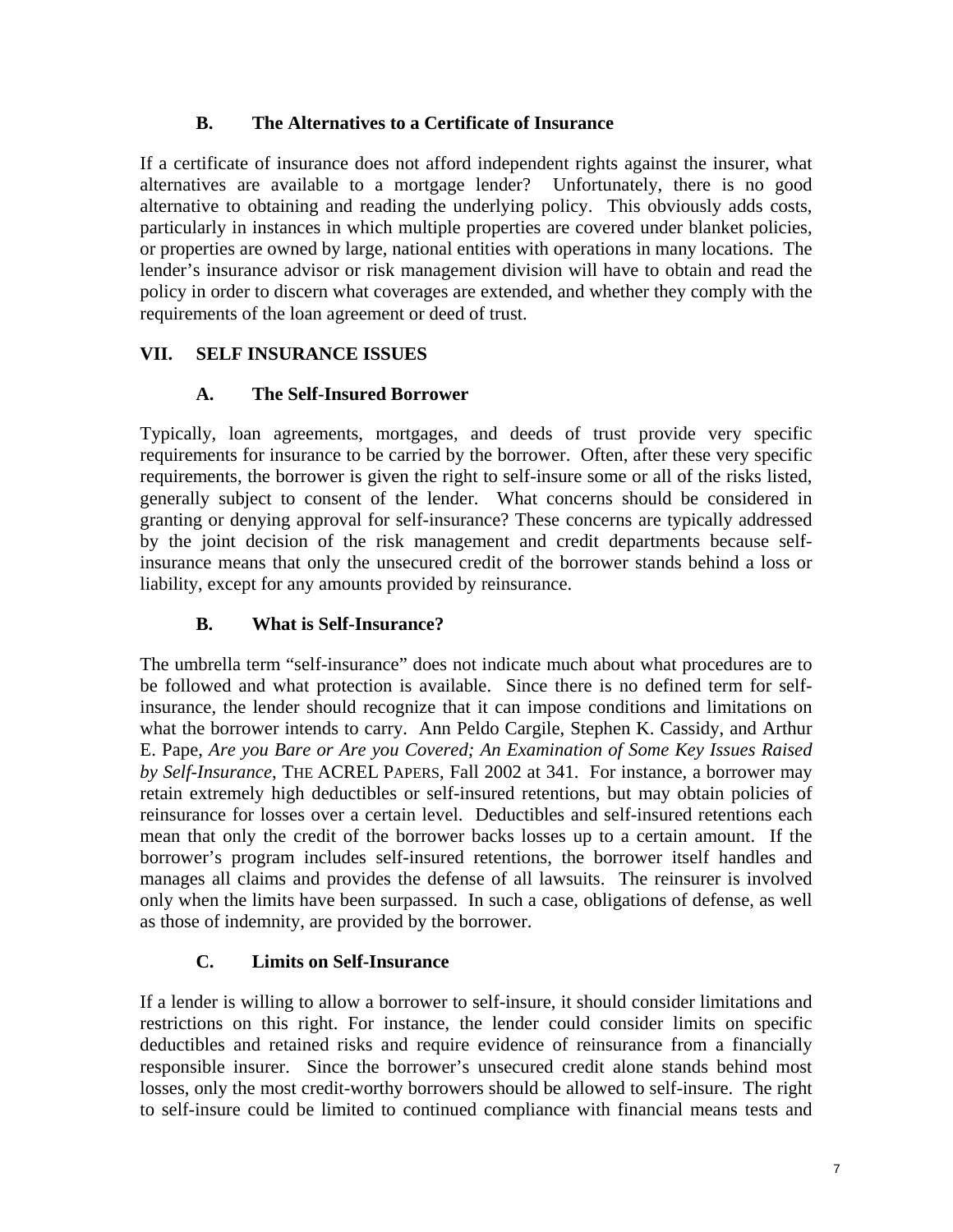## **B. The Alternatives to a Certificate of Insurance**

If a certificate of insurance does not afford independent rights against the insurer, what alternatives are available to a mortgage lender? Unfortunately, there is no good alternative to obtaining and reading the underlying policy. This obviously adds costs, particularly in instances in which multiple properties are covered under blanket policies, or properties are owned by large, national entities with operations in many locations. The lender's insurance advisor or risk management division will have to obtain and read the policy in order to discern what coverages are extended, and whether they comply with the requirements of the loan agreement or deed of trust.

## **VII. SELF INSURANCE ISSUES**

## **A. The Self-Insured Borrower**

Typically, loan agreements, mortgages, and deeds of trust provide very specific requirements for insurance to be carried by the borrower. Often, after these very specific requirements, the borrower is given the right to self-insure some or all of the risks listed, generally subject to consent of the lender. What concerns should be considered in granting or denying approval for self-insurance? These concerns are typically addressed by the joint decision of the risk management and credit departments because selfinsurance means that only the unsecured credit of the borrower stands behind a loss or liability, except for any amounts provided by reinsurance.

## **B. What is Self-Insurance?**

The umbrella term "self-insurance" does not indicate much about what procedures are to be followed and what protection is available. Since there is no defined term for selfinsurance, the lender should recognize that it can impose conditions and limitations on what the borrower intends to carry. Ann Peldo Cargile, Stephen K. Cassidy, and Arthur E. Pape, *Are you Bare or Are you Covered; An Examination of Some Key Issues Raised by Self-Insurance*, THE ACREL PAPERS, Fall 2002 at 341. For instance, a borrower may retain extremely high deductibles or self-insured retentions, but may obtain policies of reinsurance for losses over a certain level. Deductibles and self-insured retentions each mean that only the credit of the borrower backs losses up to a certain amount. If the borrower's program includes self-insured retentions, the borrower itself handles and manages all claims and provides the defense of all lawsuits. The reinsurer is involved only when the limits have been surpassed. In such a case, obligations of defense, as well as those of indemnity, are provided by the borrower.

## **C. Limits on Self-Insurance**

If a lender is willing to allow a borrower to self-insure, it should consider limitations and restrictions on this right. For instance, the lender could consider limits on specific deductibles and retained risks and require evidence of reinsurance from a financially responsible insurer. Since the borrower's unsecured credit alone stands behind most losses, only the most credit-worthy borrowers should be allowed to self-insure. The right to self-insure could be limited to continued compliance with financial means tests and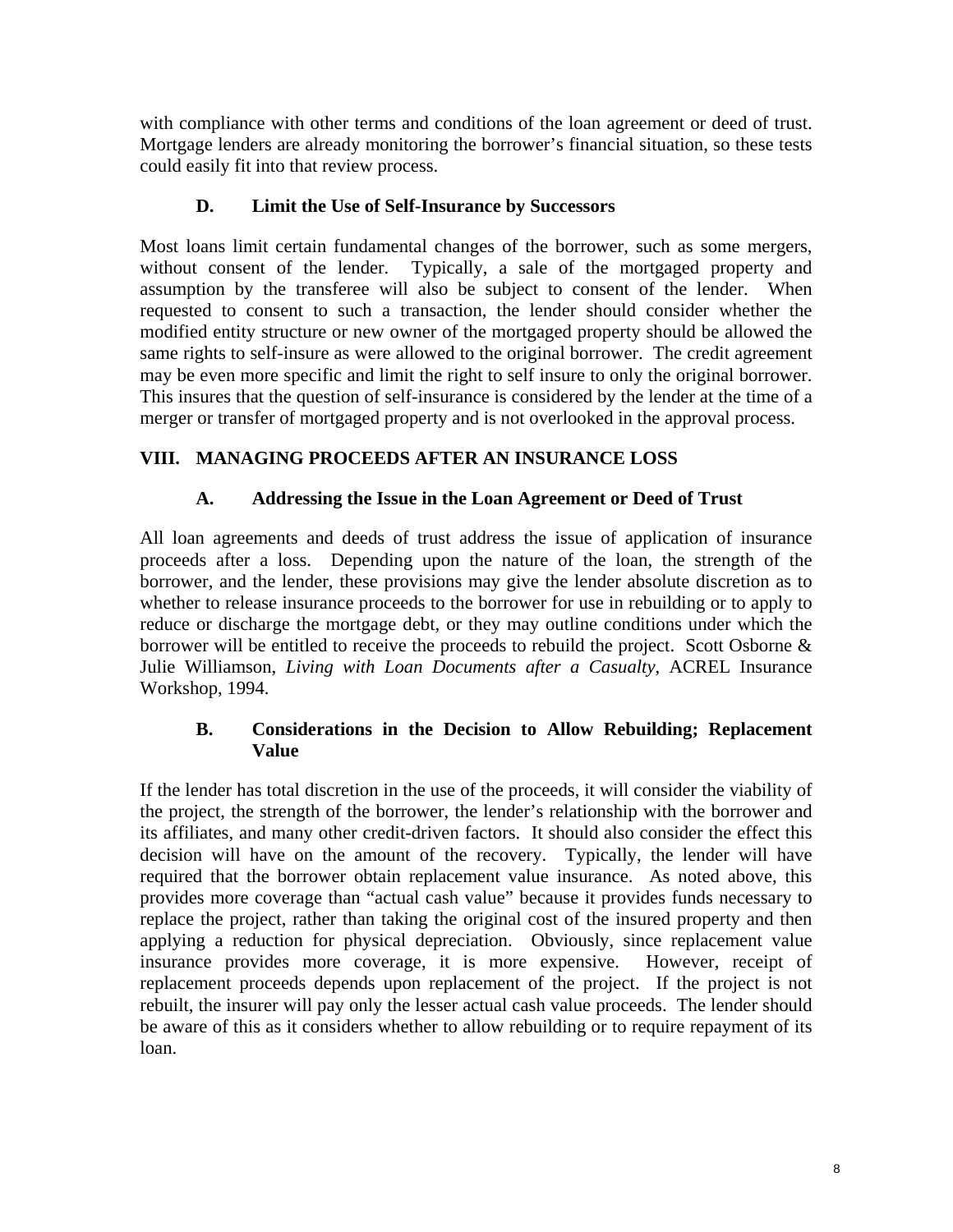with compliance with other terms and conditions of the loan agreement or deed of trust. Mortgage lenders are already monitoring the borrower's financial situation, so these tests could easily fit into that review process.

## **D. Limit the Use of Self-Insurance by Successors**

Most loans limit certain fundamental changes of the borrower, such as some mergers, without consent of the lender. Typically, a sale of the mortgaged property and assumption by the transferee will also be subject to consent of the lender. When requested to consent to such a transaction, the lender should consider whether the modified entity structure or new owner of the mortgaged property should be allowed the same rights to self-insure as were allowed to the original borrower. The credit agreement may be even more specific and limit the right to self insure to only the original borrower. This insures that the question of self-insurance is considered by the lender at the time of a merger or transfer of mortgaged property and is not overlooked in the approval process.

## **VIII. MANAGING PROCEEDS AFTER AN INSURANCE LOSS**

## **A. Addressing the Issue in the Loan Agreement or Deed of Trust**

All loan agreements and deeds of trust address the issue of application of insurance proceeds after a loss. Depending upon the nature of the loan, the strength of the borrower, and the lender, these provisions may give the lender absolute discretion as to whether to release insurance proceeds to the borrower for use in rebuilding or to apply to reduce or discharge the mortgage debt, or they may outline conditions under which the borrower will be entitled to receive the proceeds to rebuild the project. Scott Osborne & Julie Williamson, *Living with Loan Documents after a Casualty*, ACREL Insurance Workshop, 1994.

#### **B. Considerations in the Decision to Allow Rebuilding; Replacement Value**

If the lender has total discretion in the use of the proceeds, it will consider the viability of the project, the strength of the borrower, the lender's relationship with the borrower and its affiliates, and many other credit-driven factors. It should also consider the effect this decision will have on the amount of the recovery. Typically, the lender will have required that the borrower obtain replacement value insurance. As noted above, this provides more coverage than "actual cash value" because it provides funds necessary to replace the project, rather than taking the original cost of the insured property and then applying a reduction for physical depreciation. Obviously, since replacement value insurance provides more coverage, it is more expensive. However, receipt of replacement proceeds depends upon replacement of the project. If the project is not rebuilt, the insurer will pay only the lesser actual cash value proceeds. The lender should be aware of this as it considers whether to allow rebuilding or to require repayment of its loan.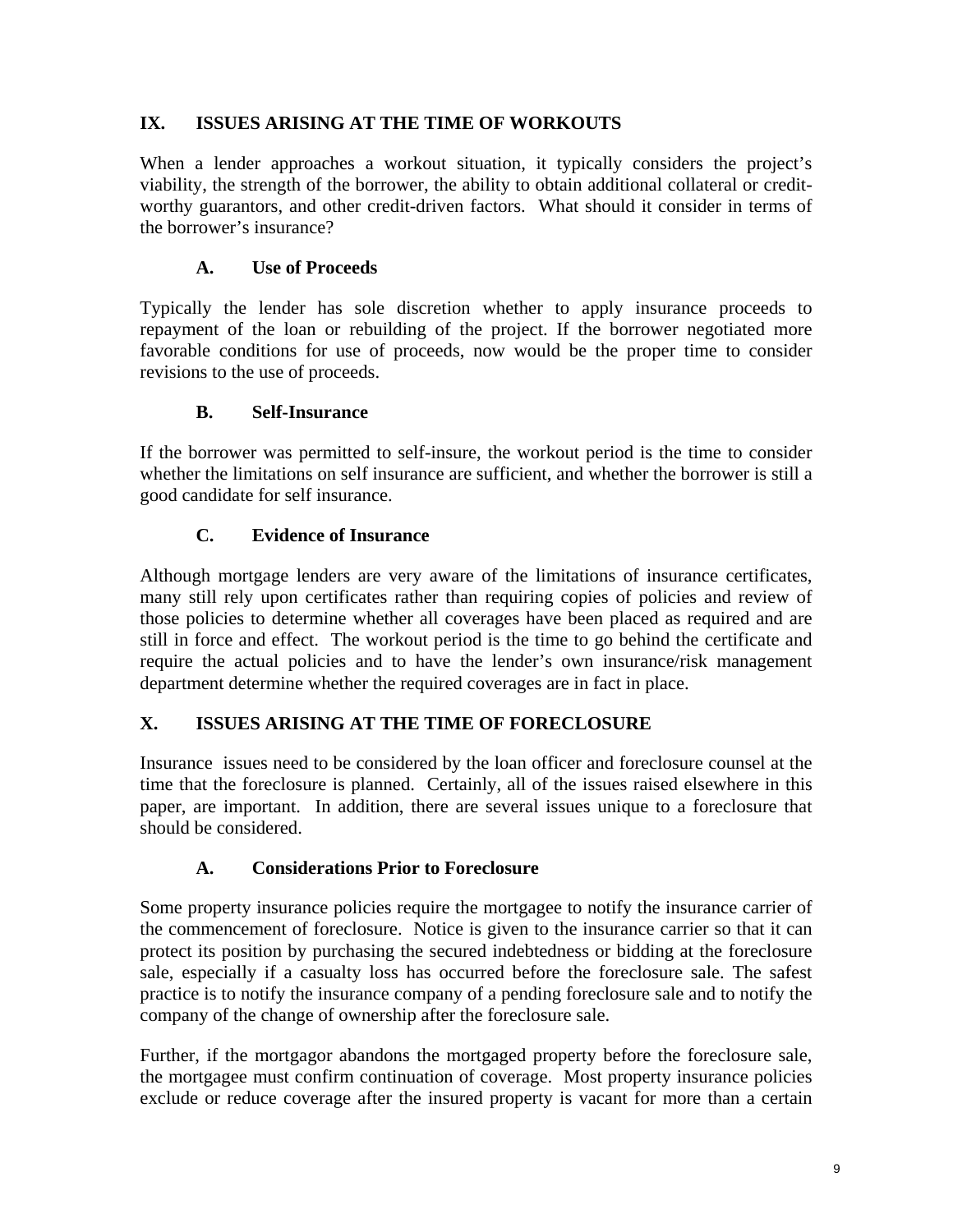## **IX. ISSUES ARISING AT THE TIME OF WORKOUTS**

When a lender approaches a workout situation, it typically considers the project's viability, the strength of the borrower, the ability to obtain additional collateral or creditworthy guarantors, and other credit-driven factors. What should it consider in terms of the borrower's insurance?

## **A. Use of Proceeds**

Typically the lender has sole discretion whether to apply insurance proceeds to repayment of the loan or rebuilding of the project. If the borrower negotiated more favorable conditions for use of proceeds, now would be the proper time to consider revisions to the use of proceeds.

#### **B. Self-Insurance**

If the borrower was permitted to self-insure, the workout period is the time to consider whether the limitations on self insurance are sufficient, and whether the borrower is still a good candidate for self insurance.

## **C. Evidence of Insurance**

Although mortgage lenders are very aware of the limitations of insurance certificates, many still rely upon certificates rather than requiring copies of policies and review of those policies to determine whether all coverages have been placed as required and are still in force and effect. The workout period is the time to go behind the certificate and require the actual policies and to have the lender's own insurance/risk management department determine whether the required coverages are in fact in place.

#### **X. ISSUES ARISING AT THE TIME OF FORECLOSURE**

Insurance issues need to be considered by the loan officer and foreclosure counsel at the time that the foreclosure is planned. Certainly, all of the issues raised elsewhere in this paper, are important. In addition, there are several issues unique to a foreclosure that should be considered.

#### **A. Considerations Prior to Foreclosure**

Some property insurance policies require the mortgagee to notify the insurance carrier of the commencement of foreclosure. Notice is given to the insurance carrier so that it can protect its position by purchasing the secured indebtedness or bidding at the foreclosure sale, especially if a casualty loss has occurred before the foreclosure sale. The safest practice is to notify the insurance company of a pending foreclosure sale and to notify the company of the change of ownership after the foreclosure sale.

Further, if the mortgagor abandons the mortgaged property before the foreclosure sale, the mortgagee must confirm continuation of coverage. Most property insurance policies exclude or reduce coverage after the insured property is vacant for more than a certain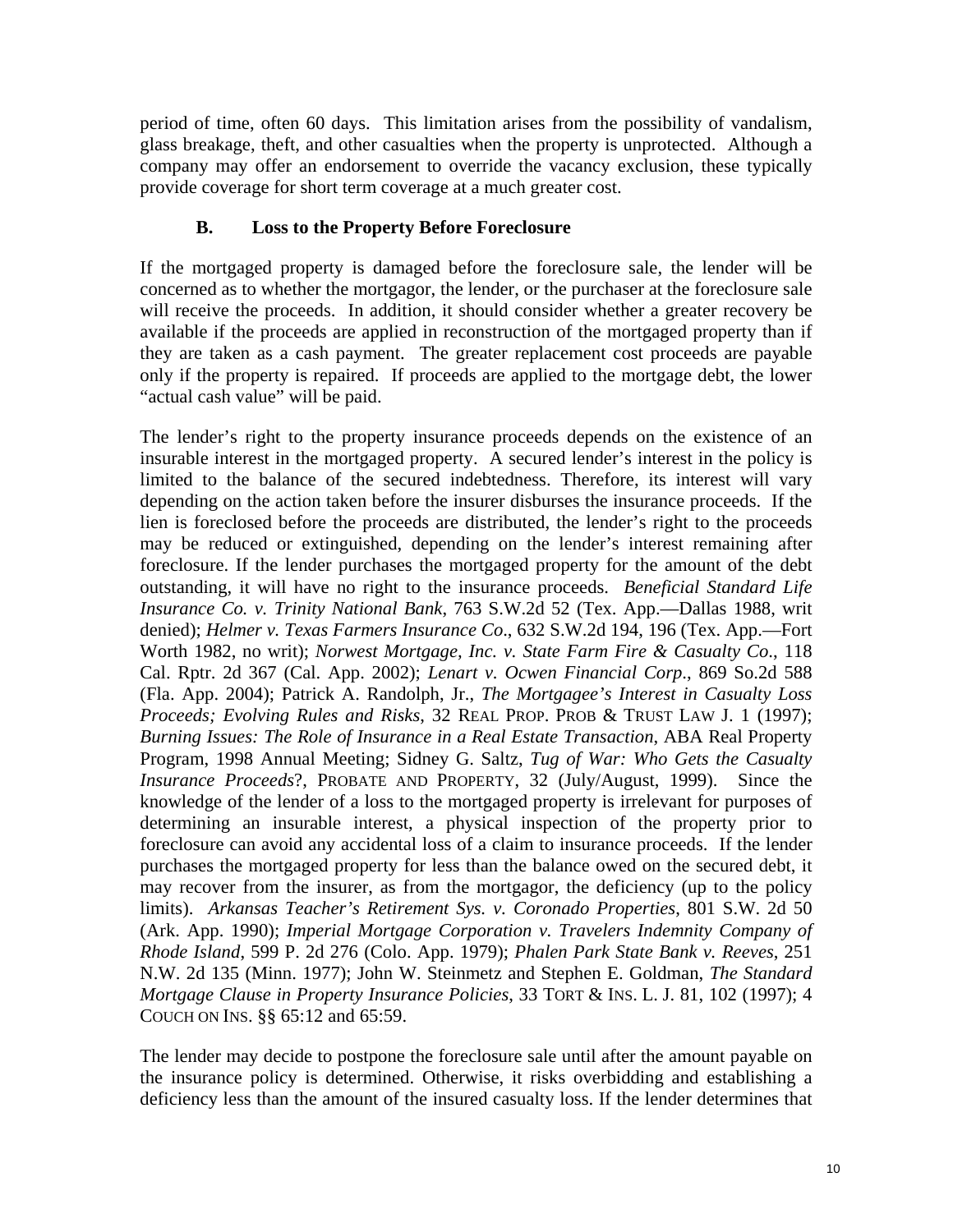period of time, often 60 days. This limitation arises from the possibility of vandalism, glass breakage, theft, and other casualties when the property is unprotected. Although a company may offer an endorsement to override the vacancy exclusion, these typically provide coverage for short term coverage at a much greater cost.

## **B. Loss to the Property Before Foreclosure**

If the mortgaged property is damaged before the foreclosure sale, the lender will be concerned as to whether the mortgagor, the lender, or the purchaser at the foreclosure sale will receive the proceeds. In addition, it should consider whether a greater recovery be available if the proceeds are applied in reconstruction of the mortgaged property than if they are taken as a cash payment. The greater replacement cost proceeds are payable only if the property is repaired. If proceeds are applied to the mortgage debt, the lower "actual cash value" will be paid.

The lender's right to the property insurance proceeds depends on the existence of an insurable interest in the mortgaged property. A secured lender's interest in the policy is limited to the balance of the secured indebtedness. Therefore, its interest will vary depending on the action taken before the insurer disburses the insurance proceeds. If the lien is foreclosed before the proceeds are distributed, the lender's right to the proceeds may be reduced or extinguished, depending on the lender's interest remaining after foreclosure. If the lender purchases the mortgaged property for the amount of the debt outstanding, it will have no right to the insurance proceeds. *Beneficial Standard Life Insurance Co. v. Trinity National Bank*, 763 S.W.2d 52 (Tex. App.—Dallas 1988, writ denied); *Helmer v. Texas Farmers Insurance Co*., 632 S.W.2d 194, 196 (Tex. App.—Fort Worth 1982, no writ); *Norwest Mortgage, Inc. v. State Farm Fire & Casualty Co*., 118 Cal. Rptr. 2d 367 (Cal. App. 2002); *Lenart v. Ocwen Financial Corp*., 869 So.2d 588 (Fla. App. 2004); Patrick A. Randolph, Jr., *The Mortgagee's Interest in Casualty Loss Proceeds; Evolving Rules and Risks*, 32 REAL PROP. PROB & TRUST LAW J. 1 (1997); *Burning Issues: The Role of Insurance in a Real Estate Transaction*, ABA Real Property Program, 1998 Annual Meeting; Sidney G. Saltz, *Tug of War: Who Gets the Casualty Insurance Proceeds*?, PROBATE AND PROPERTY, 32 (July/August, 1999). Since the knowledge of the lender of a loss to the mortgaged property is irrelevant for purposes of determining an insurable interest, a physical inspection of the property prior to foreclosure can avoid any accidental loss of a claim to insurance proceeds. If the lender purchases the mortgaged property for less than the balance owed on the secured debt, it may recover from the insurer, as from the mortgagor, the deficiency (up to the policy limits). *Arkansas Teacher's Retirement Sys. v. Coronado Properties*, 801 S.W. 2d 50 (Ark. App. 1990); *Imperial Mortgage Corporation v. Travelers Indemnity Company of Rhode Island*, 599 P. 2d 276 (Colo. App. 1979); *Phalen Park State Bank v. Reeves*, 251 N.W. 2d 135 (Minn. 1977); John W. Steinmetz and Stephen E. Goldman, *The Standard Mortgage Clause in Property Insurance Policies*, 33 TORT & INS. L. J. 81, 102 (1997); 4 COUCH ON INS. §§ 65:12 and 65:59.

The lender may decide to postpone the foreclosure sale until after the amount payable on the insurance policy is determined. Otherwise, it risks overbidding and establishing a deficiency less than the amount of the insured casualty loss. If the lender determines that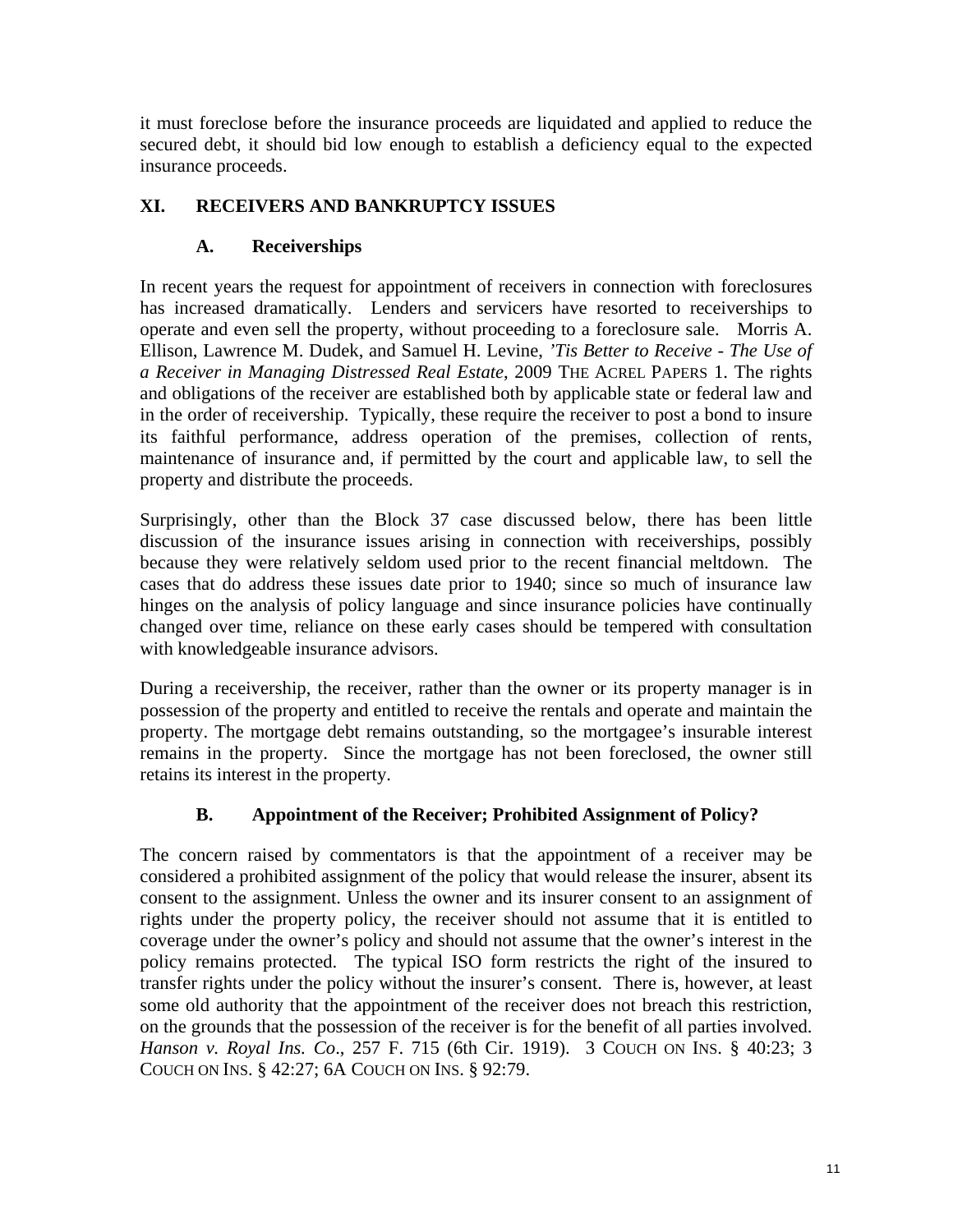it must foreclose before the insurance proceeds are liquidated and applied to reduce the secured debt, it should bid low enough to establish a deficiency equal to the expected insurance proceeds.

## **XI. RECEIVERS AND BANKRUPTCY ISSUES**

## **A. Receiverships**

In recent years the request for appointment of receivers in connection with foreclosures has increased dramatically. Lenders and servicers have resorted to receiverships to operate and even sell the property, without proceeding to a foreclosure sale. Morris A. Ellison, Lawrence M. Dudek, and Samuel H. Levine, *'Tis Better to Receive - The Use of a Receiver in Managing Distressed Real Estate*, 2009 THE ACREL PAPERS 1. The rights and obligations of the receiver are established both by applicable state or federal law and in the order of receivership. Typically, these require the receiver to post a bond to insure its faithful performance, address operation of the premises, collection of rents, maintenance of insurance and, if permitted by the court and applicable law, to sell the property and distribute the proceeds.

Surprisingly, other than the Block 37 case discussed below, there has been little discussion of the insurance issues arising in connection with receiverships, possibly because they were relatively seldom used prior to the recent financial meltdown. The cases that do address these issues date prior to 1940; since so much of insurance law hinges on the analysis of policy language and since insurance policies have continually changed over time, reliance on these early cases should be tempered with consultation with knowledgeable insurance advisors.

During a receivership, the receiver, rather than the owner or its property manager is in possession of the property and entitled to receive the rentals and operate and maintain the property. The mortgage debt remains outstanding, so the mortgagee's insurable interest remains in the property. Since the mortgage has not been foreclosed, the owner still retains its interest in the property.

## **B. Appointment of the Receiver; Prohibited Assignment of Policy?**

The concern raised by commentators is that the appointment of a receiver may be considered a prohibited assignment of the policy that would release the insurer, absent its consent to the assignment. Unless the owner and its insurer consent to an assignment of rights under the property policy, the receiver should not assume that it is entitled to coverage under the owner's policy and should not assume that the owner's interest in the policy remains protected. The typical ISO form restricts the right of the insured to transfer rights under the policy without the insurer's consent. There is, however, at least some old authority that the appointment of the receiver does not breach this restriction, on the grounds that the possession of the receiver is for the benefit of all parties involved. *Hanson v. Royal Ins. Co*., 257 F. 715 (6th Cir. 1919). 3 COUCH ON INS. § 40:23; 3 COUCH ON INS. § 42:27; 6A COUCH ON INS. § 92:79.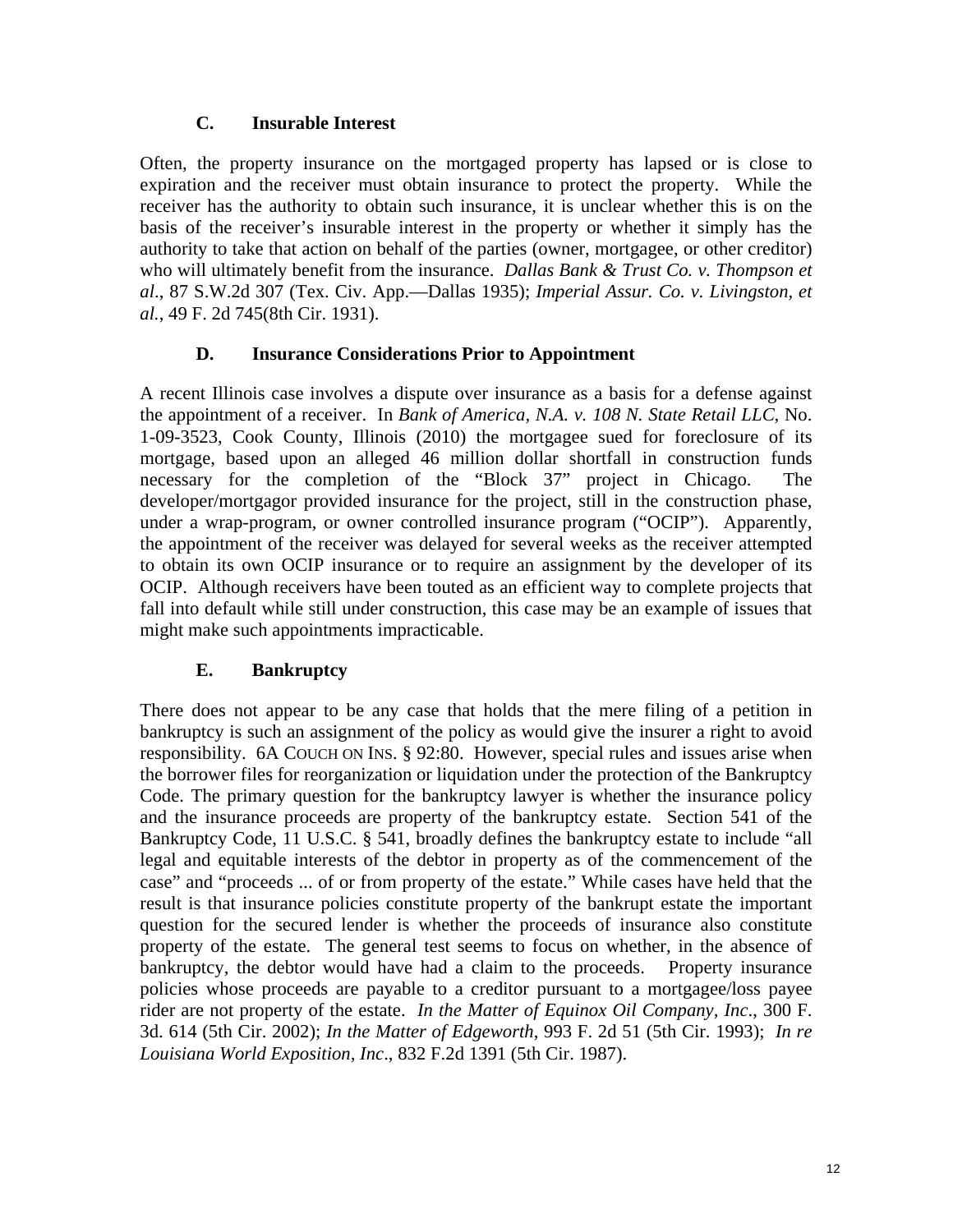#### **C. Insurable Interest**

Often, the property insurance on the mortgaged property has lapsed or is close to expiration and the receiver must obtain insurance to protect the property. While the receiver has the authority to obtain such insurance, it is unclear whether this is on the basis of the receiver's insurable interest in the property or whether it simply has the authority to take that action on behalf of the parties (owner, mortgagee, or other creditor) who will ultimately benefit from the insurance. *Dallas Bank & Trust Co. v. Thompson et al*., 87 S.W.2d 307 (Tex. Civ. App.—Dallas 1935); *Imperial Assur. Co. v. Livingston, et al.*, 49 F. 2d 745(8th Cir. 1931).

#### **D. Insurance Considerations Prior to Appointment**

A recent Illinois case involves a dispute over insurance as a basis for a defense against the appointment of a receiver. In *Bank of America, N.A. v. 108 N. State Retail LLC*, No. 1-09-3523, Cook County, Illinois (2010) the mortgagee sued for foreclosure of its mortgage, based upon an alleged 46 million dollar shortfall in construction funds necessary for the completion of the "Block 37" project in Chicago. The developer/mortgagor provided insurance for the project, still in the construction phase, under a wrap-program, or owner controlled insurance program ("OCIP"). Apparently, the appointment of the receiver was delayed for several weeks as the receiver attempted to obtain its own OCIP insurance or to require an assignment by the developer of its OCIP. Although receivers have been touted as an efficient way to complete projects that fall into default while still under construction, this case may be an example of issues that might make such appointments impracticable.

#### **E. Bankruptcy**

There does not appear to be any case that holds that the mere filing of a petition in bankruptcy is such an assignment of the policy as would give the insurer a right to avoid responsibility. 6A COUCH ON INS. § 92:80. However, special rules and issues arise when the borrower files for reorganization or liquidation under the protection of the Bankruptcy Code. The primary question for the bankruptcy lawyer is whether the insurance policy and the insurance proceeds are property of the bankruptcy estate. Section 541 of the Bankruptcy Code, 11 U.S.C. § 541, broadly defines the bankruptcy estate to include "all legal and equitable interests of the debtor in property as of the commencement of the case" and "proceeds ... of or from property of the estate." While cases have held that the result is that insurance policies constitute property of the bankrupt estate the important question for the secured lender is whether the proceeds of insurance also constitute property of the estate. The general test seems to focus on whether, in the absence of bankruptcy, the debtor would have had a claim to the proceeds. Property insurance policies whose proceeds are payable to a creditor pursuant to a mortgagee/loss payee rider are not property of the estate. *In the Matter of Equinox Oil Company, Inc*., 300 F. 3d. 614 (5th Cir. 2002); *In the Matter of Edgeworth*, 993 F. 2d 51 (5th Cir. 1993); *In re Louisiana World Exposition, Inc*., 832 F.2d 1391 (5th Cir. 1987).